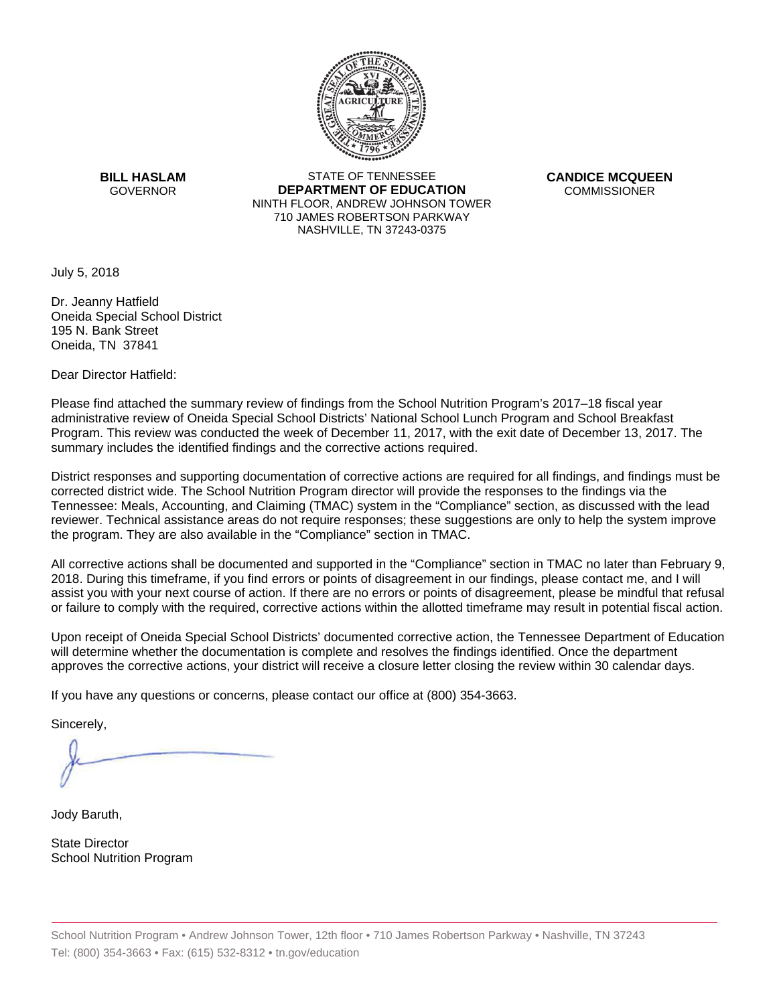

**BILL HASLAM GOVERNOR** 

STATE OF TENNESSEE **DEPARTMENT OF EDUCATION**  NINTH FLOOR, ANDREW JOHNSON TOWER 710 JAMES ROBERTSON PARKWAY NASHVILLE, TN 37243-0375

**CANDICE MCQUEEN COMMISSIONER** 

July 5, 2018

Dr. Jeanny Hatfield Oneida Special School District 195 N. Bank Street Oneida, TN 37841

Dear Director Hatfield:

Please find attached the summary review of findings from the School Nutrition Program's 2017–18 fiscal year administrative review of Oneida Special School Districts' National School Lunch Program and School Breakfast Program. This review was conducted the week of December 11, 2017, with the exit date of December 13, 2017. The summary includes the identified findings and the corrective actions required.

District responses and supporting documentation of corrective actions are required for all findings, and findings must be corrected district wide. The School Nutrition Program director will provide the responses to the findings via the Tennessee: Meals, Accounting, and Claiming (TMAC) system in the "Compliance" section, as discussed with the lead reviewer. Technical assistance areas do not require responses; these suggestions are only to help the system improve the program. They are also available in the "Compliance" section in TMAC.

All corrective actions shall be documented and supported in the "Compliance" section in TMAC no later than February 9, 2018. During this timeframe, if you find errors or points of disagreement in our findings, please contact me, and I will assist you with your next course of action. If there are no errors or points of disagreement, please be mindful that refusal or failure to comply with the required, corrective actions within the allotted timeframe may result in potential fiscal action.

Upon receipt of Oneida Special School Districts' documented corrective action, the Tennessee Department of Education will determine whether the documentation is complete and resolves the findings identified. Once the department approves the corrective actions, your district will receive a closure letter closing the review within 30 calendar days.

If you have any questions or concerns, please contact our office at (800) 354-3663.

Sincerely,

Jody Baruth,

State Director School Nutrition Program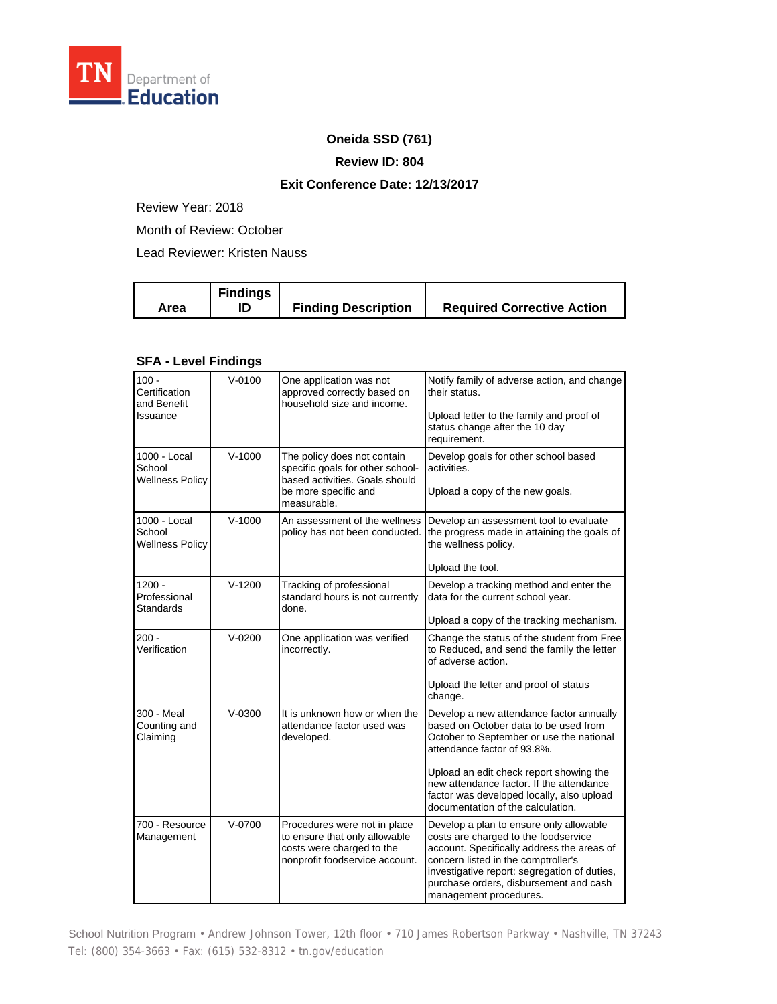

## **Oneida SSD (761)**

#### **Review ID: 804**

## **Exit Conference Date: 12/13/2017**

Review Year: 2018

Month of Review: October

Lead Reviewer: Kristen Nauss

| <b>Findings</b><br>Area | <b>Finding Description</b> | <b>Required Corrective Action</b> |
|-------------------------|----------------------------|-----------------------------------|
|-------------------------|----------------------------|-----------------------------------|

# **SFA - Level Findings**

| $100 -$<br>Certification<br>and Benefit<br>Issuance | $V - 0100$ | One application was not<br>approved correctly based on<br>household size and income.                                                     | Notify family of adverse action, and change<br>their status.<br>Upload letter to the family and proof of<br>status change after the 10 day<br>requirement.                                                                                                                                                                            |
|-----------------------------------------------------|------------|------------------------------------------------------------------------------------------------------------------------------------------|---------------------------------------------------------------------------------------------------------------------------------------------------------------------------------------------------------------------------------------------------------------------------------------------------------------------------------------|
| 1000 - Local<br>School<br><b>Wellness Policy</b>    | $V - 1000$ | The policy does not contain<br>specific goals for other school-<br>based activities. Goals should<br>be more specific and<br>measurable. | Develop goals for other school based<br>activities.<br>Upload a copy of the new goals.                                                                                                                                                                                                                                                |
| 1000 - Local<br>School<br><b>Wellness Policy</b>    | $V-1000$   | An assessment of the wellness<br>policy has not been conducted.                                                                          | Develop an assessment tool to evaluate<br>the progress made in attaining the goals of<br>the wellness policy.<br>Upload the tool.                                                                                                                                                                                                     |
| $1200 -$<br>Professional<br>Standards               | $V-1200$   | Tracking of professional<br>standard hours is not currently<br>done.                                                                     | Develop a tracking method and enter the<br>data for the current school year.<br>Upload a copy of the tracking mechanism.                                                                                                                                                                                                              |
| 200 -<br>Verification                               | $V-0200$   | One application was verified<br>incorrectly.                                                                                             | Change the status of the student from Free<br>to Reduced, and send the family the letter<br>of adverse action.<br>Upload the letter and proof of status<br>change.                                                                                                                                                                    |
| 300 - Meal<br>Counting and<br>Claiming              | $V - 0300$ | It is unknown how or when the<br>attendance factor used was<br>developed.                                                                | Develop a new attendance factor annually<br>based on October data to be used from<br>October to September or use the national<br>attendance factor of 93.8%.<br>Upload an edit check report showing the<br>new attendance factor. If the attendance<br>factor was developed locally, also upload<br>documentation of the calculation. |
| 700 - Resource<br>Management                        | $V-0700$   | Procedures were not in place<br>to ensure that only allowable<br>costs were charged to the<br>nonprofit foodservice account.             | Develop a plan to ensure only allowable<br>costs are charged to the foodservice<br>account. Specifically address the areas of<br>concern listed in the comptroller's<br>investigative report: segregation of duties,<br>purchase orders, disbursement and cash<br>management procedures.                                              |